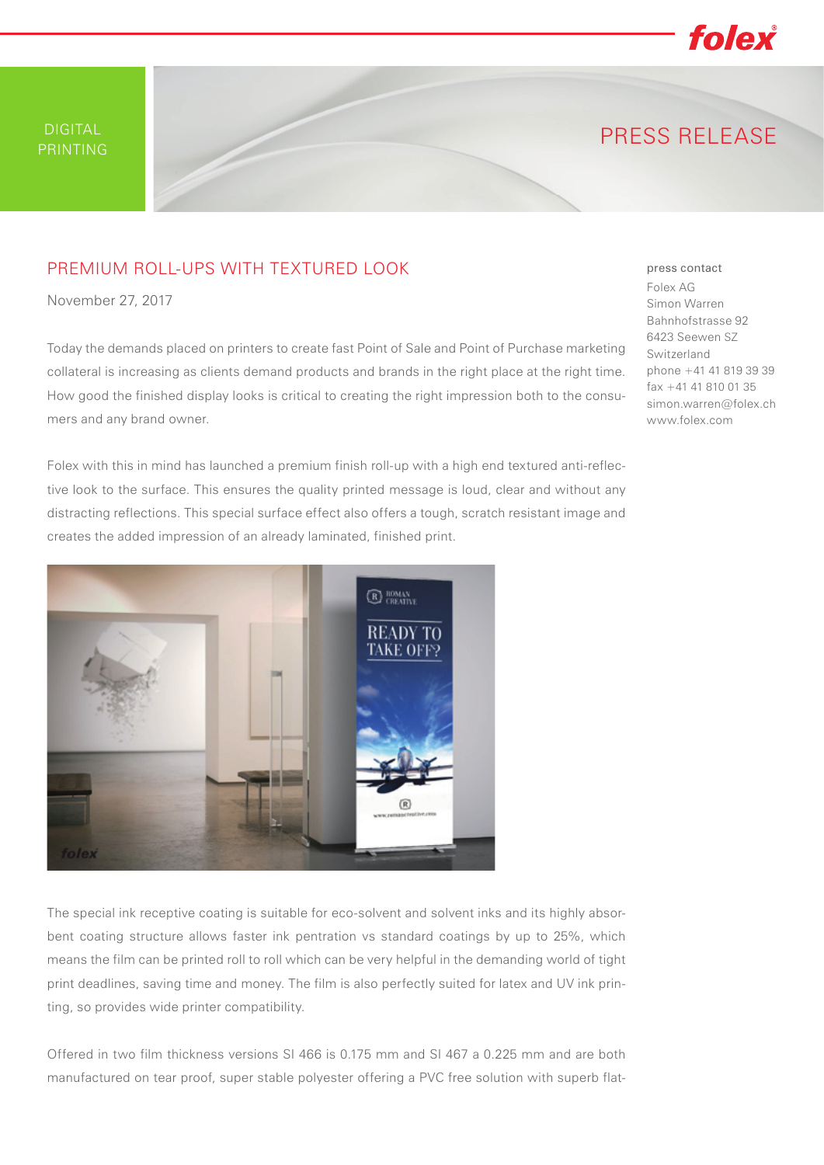folex

# PRINTING PRINTING PRESS RELEASE

### PREMIUM ROLL-UPS WITH TEXTURED LOOK

November 27, 2017

Today the demands placed on printers to create fast Point of Sale and Point of Purchase marketing collateral is increasing as clients demand products and brands in the right place at the right time. How good the finished display looks is critical to creating the right impression both to the consumers and any brand owner.

Folex with this in mind has launched a premium finish roll-up with a high end textured anti-reflective look to the surface. This ensures the quality printed message is loud, clear and without any distracting reflections. This special surface effect also offers a tough, scratch resistant image and creates the added impression of an already laminated, finished print.



The special ink receptive coating is suitable for eco-solvent and solvent inks and its highly absorbent coating structure allows faster ink pentration vs standard coatings by up to 25%, which means the film can be printed roll to roll which can be very helpful in the demanding world of tight print deadlines, saving time and money. The film is also perfectly suited for latex and UV ink printing, so provides wide printer compatibility.

Offered in two film thickness versions SI 466 is 0.175 mm and SI 467 a 0.225 mm and are both manufactured on tear proof, super stable polyester offering a PVC free solution with superb flat-

#### press contact Folex AG Simon Warren Bahnhofstrasse 92 6423 Seewen SZ Switzerland phone +41 41 819 39 39 fax +41 41 810 01 35 simon.warren@folex.ch www.folex.com